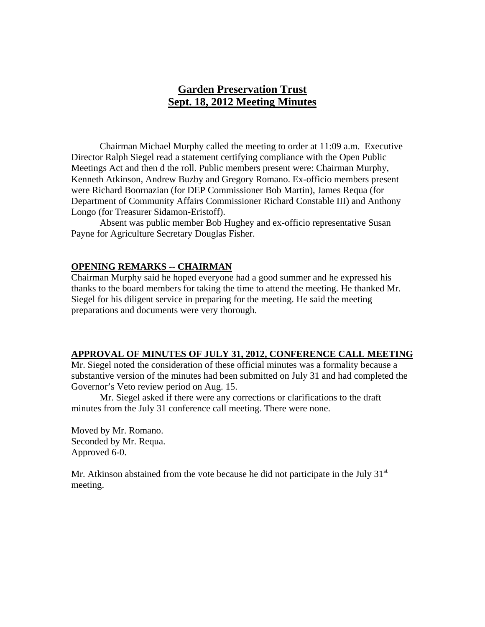# **Garden Preservation Trust Sept. 18, 2012 Meeting Minutes**

Chairman Michael Murphy called the meeting to order at 11:09 a.m. Executive Director Ralph Siegel read a statement certifying compliance with the Open Public Meetings Act and then d the roll. Public members present were: Chairman Murphy, Kenneth Atkinson, Andrew Buzby and Gregory Romano. Ex-officio members present were Richard Boornazian (for DEP Commissioner Bob Martin), James Requa (for Department of Community Affairs Commissioner Richard Constable III) and Anthony Longo (for Treasurer Sidamon-Eristoff).

Absent was public member Bob Hughey and ex-officio representative Susan Payne for Agriculture Secretary Douglas Fisher.

#### **OPENING REMARKS -- CHAIRMAN**

Chairman Murphy said he hoped everyone had a good summer and he expressed his thanks to the board members for taking the time to attend the meeting. He thanked Mr. Siegel for his diligent service in preparing for the meeting. He said the meeting preparations and documents were very thorough.

#### **APPROVAL OF MINUTES OF JULY 31, 2012, CONFERENCE CALL MEETING**

Mr. Siegel noted the consideration of these official minutes was a formality because a substantive version of the minutes had been submitted on July 31 and had completed the Governor's Veto review period on Aug. 15.

 Mr. Siegel asked if there were any corrections or clarifications to the draft minutes from the July 31 conference call meeting. There were none.

Moved by Mr. Romano. Seconded by Mr. Requa. Approved 6-0.

Mr. Atkinson abstained from the vote because he did not participate in the July  $31<sup>st</sup>$ meeting.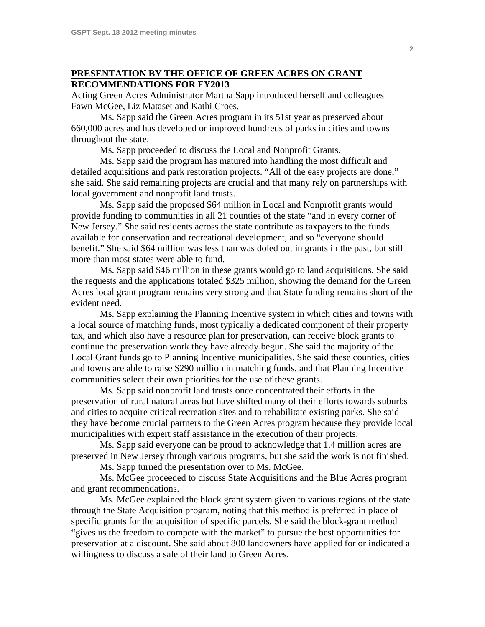### **PRESENTATION BY THE OFFICE OF GREEN ACRES ON GRANT RECOMMENDATIONS FOR FY2013**

Acting Green Acres Administrator Martha Sapp introduced herself and colleagues Fawn McGee, Liz Mataset and Kathi Croes.

 Ms. Sapp said the Green Acres program in its 51st year as preserved about 660,000 acres and has developed or improved hundreds of parks in cities and towns throughout the state.

Ms. Sapp proceeded to discuss the Local and Nonprofit Grants.

 Ms. Sapp said the program has matured into handling the most difficult and detailed acquisitions and park restoration projects. "All of the easy projects are done," she said. She said remaining projects are crucial and that many rely on partnerships with local government and nonprofit land trusts.

 Ms. Sapp said the proposed \$64 million in Local and Nonprofit grants would provide funding to communities in all 21 counties of the state "and in every corner of New Jersey." She said residents across the state contribute as taxpayers to the funds available for conservation and recreational development, and so "everyone should benefit." She said \$64 million was less than was doled out in grants in the past, but still more than most states were able to fund.

 Ms. Sapp said \$46 million in these grants would go to land acquisitions. She said the requests and the applications totaled \$325 million, showing the demand for the Green Acres local grant program remains very strong and that State funding remains short of the evident need.

 Ms. Sapp explaining the Planning Incentive system in which cities and towns with a local source of matching funds, most typically a dedicated component of their property tax, and which also have a resource plan for preservation, can receive block grants to continue the preservation work they have already begun. She said the majority of the Local Grant funds go to Planning Incentive municipalities. She said these counties, cities and towns are able to raise \$290 million in matching funds, and that Planning Incentive communities select their own priorities for the use of these grants.

 Ms. Sapp said nonprofit land trusts once concentrated their efforts in the preservation of rural natural areas but have shifted many of their efforts towards suburbs and cities to acquire critical recreation sites and to rehabilitate existing parks. She said they have become crucial partners to the Green Acres program because they provide local municipalities with expert staff assistance in the execution of their projects.

 Ms. Sapp said everyone can be proud to acknowledge that 1.4 million acres are preserved in New Jersey through various programs, but she said the work is not finished.

Ms. Sapp turned the presentation over to Ms. McGee.

 Ms. McGee proceeded to discuss State Acquisitions and the Blue Acres program and grant recommendations.

 Ms. McGee explained the block grant system given to various regions of the state through the State Acquisition program, noting that this method is preferred in place of specific grants for the acquisition of specific parcels. She said the block-grant method "gives us the freedom to compete with the market" to pursue the best opportunities for preservation at a discount. She said about 800 landowners have applied for or indicated a willingness to discuss a sale of their land to Green Acres.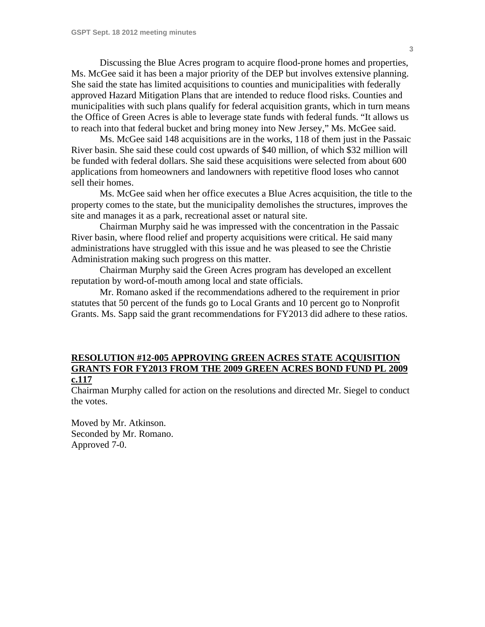Discussing the Blue Acres program to acquire flood-prone homes and properties, Ms. McGee said it has been a major priority of the DEP but involves extensive planning. She said the state has limited acquisitions to counties and municipalities with federally approved Hazard Mitigation Plans that are intended to reduce flood risks. Counties and municipalities with such plans qualify for federal acquisition grants, which in turn means the Office of Green Acres is able to leverage state funds with federal funds. "It allows us to reach into that federal bucket and bring money into New Jersey," Ms. McGee said.

 Ms. McGee said 148 acquisitions are in the works, 118 of them just in the Passaic River basin. She said these could cost upwards of \$40 million, of which \$32 million will be funded with federal dollars. She said these acquisitions were selected from about 600 applications from homeowners and landowners with repetitive flood loses who cannot sell their homes.

 Ms. McGee said when her office executes a Blue Acres acquisition, the title to the property comes to the state, but the municipality demolishes the structures, improves the site and manages it as a park, recreational asset or natural site.

 Chairman Murphy said he was impressed with the concentration in the Passaic River basin, where flood relief and property acquisitions were critical. He said many administrations have struggled with this issue and he was pleased to see the Christie Administration making such progress on this matter.

 Chairman Murphy said the Green Acres program has developed an excellent reputation by word-of-mouth among local and state officials.

 Mr. Romano asked if the recommendations adhered to the requirement in prior statutes that 50 percent of the funds go to Local Grants and 10 percent go to Nonprofit Grants. Ms. Sapp said the grant recommendations for FY2013 did adhere to these ratios.

### **RESOLUTION #12-005 APPROVING GREEN ACRES STATE ACQUISITION GRANTS FOR FY2013 FROM THE 2009 GREEN ACRES BOND FUND PL 2009 c.117**

Chairman Murphy called for action on the resolutions and directed Mr. Siegel to conduct the votes.

Moved by Mr. Atkinson. Seconded by Mr. Romano. Approved 7-0.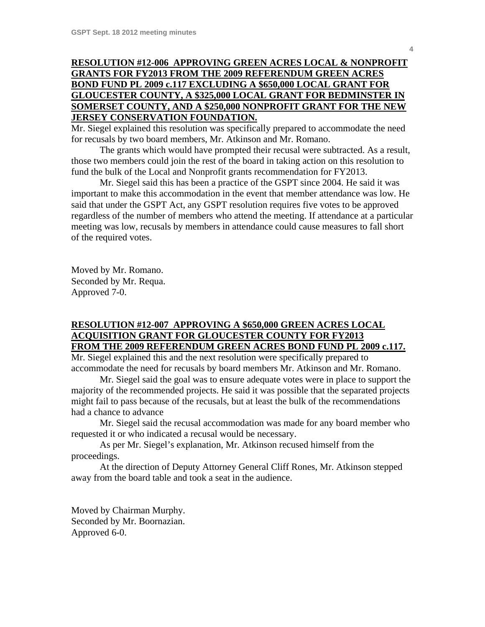## **RESOLUTION #12-006 APPROVING GREEN ACRES LOCAL & NONPROFIT GRANTS FOR FY2013 FROM THE 2009 REFERENDUM GREEN ACRES BOND FUND PL 2009 c.117 EXCLUDING A \$650,000 LOCAL GRANT FOR GLOUCESTER COUNTY, A \$325,000 LOCAL GRANT FOR BEDMINSTER IN SOMERSET COUNTY, AND A \$250,000 NONPROFIT GRANT FOR THE NEW JERSEY CONSERVATION FOUNDATION.**

Mr. Siegel explained this resolution was specifically prepared to accommodate the need for recusals by two board members, Mr. Atkinson and Mr. Romano.

 The grants which would have prompted their recusal were subtracted. As a result, those two members could join the rest of the board in taking action on this resolution to fund the bulk of the Local and Nonprofit grants recommendation for FY2013.

 Mr. Siegel said this has been a practice of the GSPT since 2004. He said it was important to make this accommodation in the event that member attendance was low. He said that under the GSPT Act, any GSPT resolution requires five votes to be approved regardless of the number of members who attend the meeting. If attendance at a particular meeting was low, recusals by members in attendance could cause measures to fall short of the required votes.

Moved by Mr. Romano. Seconded by Mr. Requa. Approved 7-0.

#### **RESOLUTION #12-007 APPROVING A \$650,000 GREEN ACRES LOCAL ACQUISITION GRANT FOR GLOUCESTER COUNTY FOR FY2013 FROM THE 2009 REFERENDUM GREEN ACRES BOND FUND PL 2009 c.117.**

Mr. Siegel explained this and the next resolution were specifically prepared to accommodate the need for recusals by board members Mr. Atkinson and Mr. Romano.

 Mr. Siegel said the goal was to ensure adequate votes were in place to support the majority of the recommended projects. He said it was possible that the separated projects might fail to pass because of the recusals, but at least the bulk of the recommendations had a chance to advance

 Mr. Siegel said the recusal accommodation was made for any board member who requested it or who indicated a recusal would be necessary.

 As per Mr. Siegel's explanation, Mr. Atkinson recused himself from the proceedings.

 At the direction of Deputy Attorney General Cliff Rones, Mr. Atkinson stepped away from the board table and took a seat in the audience.

Moved by Chairman Murphy. Seconded by Mr. Boornazian. Approved 6-0.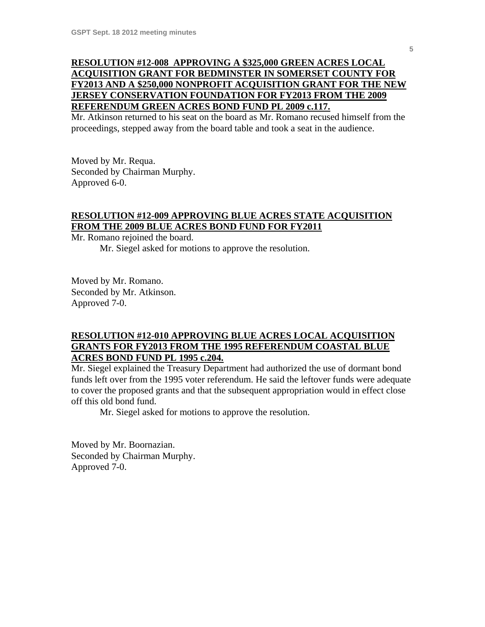## **RESOLUTION #12-008 APPROVING A \$325,000 GREEN ACRES LOCAL ACQUISITION GRANT FOR BEDMINSTER IN SOMERSET COUNTY FOR FY2013 AND A \$250,000 NONPROFIT ACQUISITION GRANT FOR THE NEW JERSEY CONSERVATION FOUNDATION FOR FY2013 FROM THE 2009 REFERENDUM GREEN ACRES BOND FUND PL 2009 c.117.**

Mr. Atkinson returned to his seat on the board as Mr. Romano recused himself from the proceedings, stepped away from the board table and took a seat in the audience.

Moved by Mr. Requa. Seconded by Chairman Murphy. Approved 6-0.

## **RESOLUTION #12-009 APPROVING BLUE ACRES STATE ACQUISITION FROM THE 2009 BLUE ACRES BOND FUND FOR FY2011**

Mr. Romano rejoined the board.

Mr. Siegel asked for motions to approve the resolution.

Moved by Mr. Romano. Seconded by Mr. Atkinson. Approved 7-0.

## **RESOLUTION #12-010 APPROVING BLUE ACRES LOCAL ACQUISITION GRANTS FOR FY2013 FROM THE 1995 REFERENDUM COASTAL BLUE ACRES BOND FUND PL 1995 c.204.**

Mr. Siegel explained the Treasury Department had authorized the use of dormant bond funds left over from the 1995 voter referendum. He said the leftover funds were adequate to cover the proposed grants and that the subsequent appropriation would in effect close off this old bond fund.

Mr. Siegel asked for motions to approve the resolution.

Moved by Mr. Boornazian. Seconded by Chairman Murphy. Approved 7-0.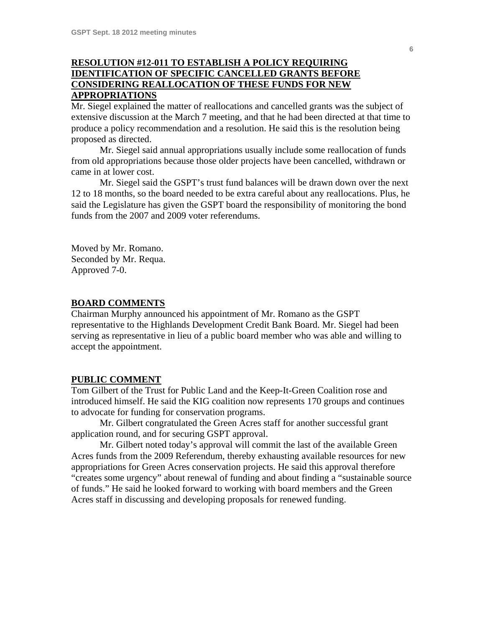## **RESOLUTION #12-011 TO ESTABLISH A POLICY REQUIRING IDENTIFICATION OF SPECIFIC CANCELLED GRANTS BEFORE CONSIDERING REALLOCATION OF THESE FUNDS FOR NEW APPROPRIATIONS**

Mr. Siegel explained the matter of reallocations and cancelled grants was the subject of extensive discussion at the March 7 meeting, and that he had been directed at that time to produce a policy recommendation and a resolution. He said this is the resolution being proposed as directed.

 Mr. Siegel said annual appropriations usually include some reallocation of funds from old appropriations because those older projects have been cancelled, withdrawn or came in at lower cost.

 Mr. Siegel said the GSPT's trust fund balances will be drawn down over the next 12 to 18 months, so the board needed to be extra careful about any reallocations. Plus, he said the Legislature has given the GSPT board the responsibility of monitoring the bond funds from the 2007 and 2009 voter referendums.

Moved by Mr. Romano. Seconded by Mr. Requa. Approved 7-0.

#### **BOARD COMMENTS**

Chairman Murphy announced his appointment of Mr. Romano as the GSPT representative to the Highlands Development Credit Bank Board. Mr. Siegel had been serving as representative in lieu of a public board member who was able and willing to accept the appointment.

#### **PUBLIC COMMENT**

Tom Gilbert of the Trust for Public Land and the Keep-It-Green Coalition rose and introduced himself. He said the KIG coalition now represents 170 groups and continues to advocate for funding for conservation programs.

 Mr. Gilbert congratulated the Green Acres staff for another successful grant application round, and for securing GSPT approval.

 Mr. Gilbert noted today's approval will commit the last of the available Green Acres funds from the 2009 Referendum, thereby exhausting available resources for new appropriations for Green Acres conservation projects. He said this approval therefore "creates some urgency" about renewal of funding and about finding a "sustainable source of funds." He said he looked forward to working with board members and the Green Acres staff in discussing and developing proposals for renewed funding.